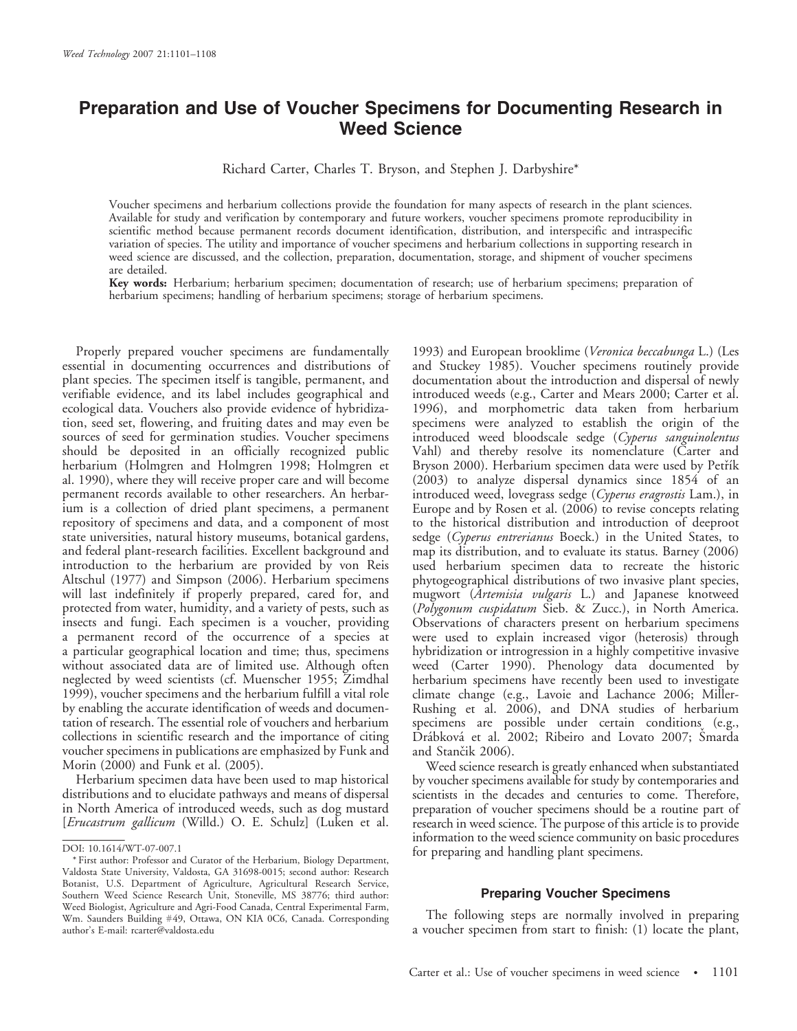# Preparation and Use of Voucher Specimens for Documenting Research in Weed Science

Richard Carter, Charles T. Bryson, and Stephen J. Darbyshire\*

Voucher specimens and herbarium collections provide the foundation for many aspects of research in the plant sciences. Available for study and verification by contemporary and future workers, voucher specimens promote reproducibility in scientific method because permanent records document identification, distribution, and interspecific and intraspecific variation of species. The utility and importance of voucher specimens and herbarium collections in supporting research in weed science are discussed, and the collection, preparation, documentation, storage, and shipment of voucher specimens are detailed.

Key words: Herbarium; herbarium specimen; documentation of research; use of herbarium specimens; preparation of herbarium specimens; handling of herbarium specimens; storage of herbarium specimens.

Properly prepared voucher specimens are fundamentally essential in documenting occurrences and distributions of plant species. The specimen itself is tangible, permanent, and verifiable evidence, and its label includes geographical and ecological data. Vouchers also provide evidence of hybridization, seed set, flowering, and fruiting dates and may even be sources of seed for germination studies. Voucher specimens should be deposited in an officially recognized public herbarium (Holmgren and Holmgren 1998; Holmgren et al. 1990), where they will receive proper care and will become permanent records available to other researchers. An herbarium is a collection of dried plant specimens, a permanent repository of specimens and data, and a component of most state universities, natural history museums, botanical gardens, and federal plant-research facilities. Excellent background and introduction to the herbarium are provided by von Reis Altschul (1977) and Simpson (2006). Herbarium specimens will last indefinitely if properly prepared, cared for, and protected from water, humidity, and a variety of pests, such as insects and fungi. Each specimen is a voucher, providing a permanent record of the occurrence of a species at a particular geographical location and time; thus, specimens without associated data are of limited use. Although often neglected by weed scientists (cf. Muenscher 1955; Zimdhal 1999), voucher specimens and the herbarium fulfill a vital role by enabling the accurate identification of weeds and documentation of research. The essential role of vouchers and herbarium collections in scientific research and the importance of citing voucher specimens in publications are emphasized by Funk and Morin (2000) and Funk et al. (2005).

Herbarium specimen data have been used to map historical distributions and to elucidate pathways and means of dispersal in North America of introduced weeds, such as dog mustard [Erucastrum gallicum (Willd.) O. E. Schulz] (Luken et al.

1993) and European brooklime (Veronica beccabunga L.) (Les and Stuckey 1985). Voucher specimens routinely provide documentation about the introduction and dispersal of newly introduced weeds (e.g., Carter and Mears 2000; Carter et al. 1996), and morphometric data taken from herbarium specimens were analyzed to establish the origin of the introduced weed bloodscale sedge (Cyperus sanguinolentus Vahl) and thereby resolve its nomenclature (Carter and Bryson 2000). Herbarium specimen data were used by Petřík (2003) to analyze dispersal dynamics since 1854 of an introduced weed, lovegrass sedge (Cyperus eragrostis Lam.), in Europe and by Rosen et al. (2006) to revise concepts relating to the historical distribution and introduction of deeproot sedge (Cyperus entrerianus Boeck.) in the United States, to map its distribution, and to evaluate its status. Barney (2006) used herbarium specimen data to recreate the historic phytogeographical distributions of two invasive plant species, mugwort (Artemisia vulgaris L.) and Japanese knotweed (Polygonum cuspidatum Sieb. & Zucc.), in North America. Observations of characters present on herbarium specimens were used to explain increased vigor (heterosis) through hybridization or introgression in a highly competitive invasive weed (Carter 1990). Phenology data documented by herbarium specimens have recently been used to investigate climate change (e.g., Lavoie and Lachance 2006; Miller-Rushing et al. 2006), and DNA studies of herbarium specimens are possible under certain conditions (e.g.,<br>Drábková et al. 2002; Ribeiro and Lovato 2007; Šmarda and Stančik 2006).

Weed science research is greatly enhanced when substantiated by voucher specimens available for study by contemporaries and scientists in the decades and centuries to come. Therefore, preparation of voucher specimens should be a routine part of research in weed science. The purpose of this article is to provide information to the weed science community on basic procedures for preparing and handling plant specimens.

### Preparing Voucher Specimens

The following steps are normally involved in preparing a voucher specimen from start to finish: (1) locate the plant,

DOI: 10.1614/WT-07-007.1

<sup>\*</sup> First author: Professor and Curator of the Herbarium, Biology Department, Valdosta State University, Valdosta, GA 31698-0015; second author: Research Botanist, U.S. Department of Agriculture, Agricultural Research Service, Southern Weed Science Research Unit, Stoneville, MS 38776; third author: Weed Biologist, Agriculture and Agri-Food Canada, Central Experimental Farm, Wm. Saunders Building #49, Ottawa, ON KIA 0C6, Canada. Corresponding author's E-mail: rcarter@valdosta.edu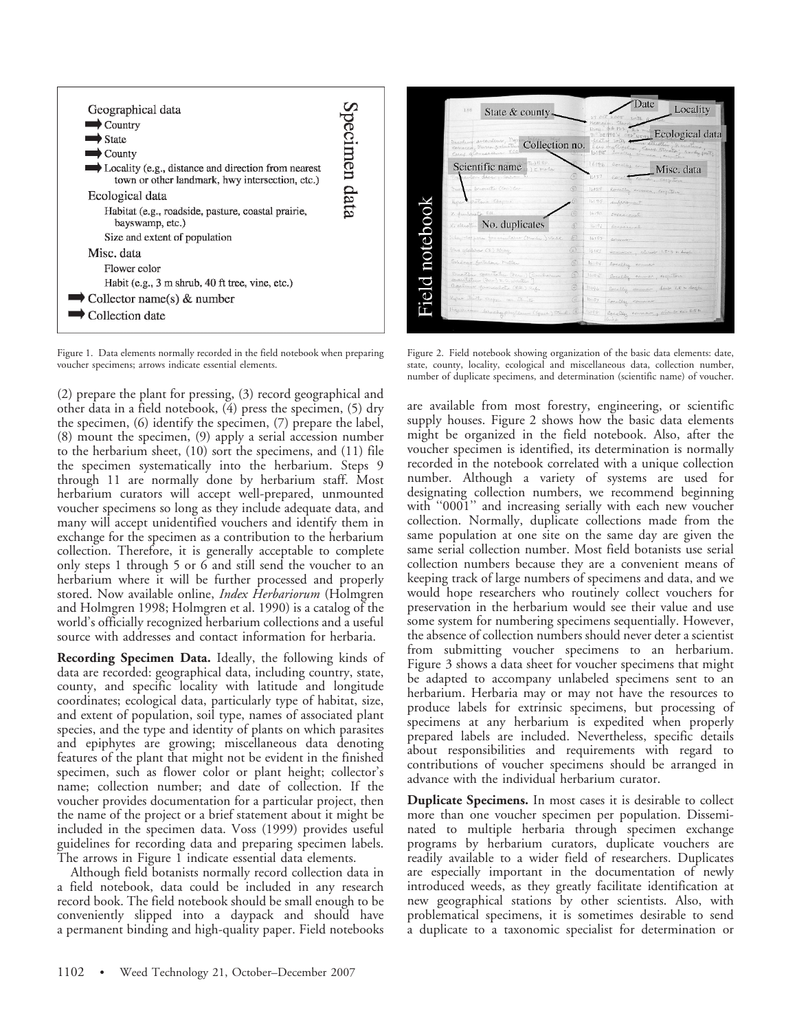

Figure 1. Data elements normally recorded in the field notebook when preparing voucher specimens; arrows indicate essential elements.

(2) prepare the plant for pressing, (3) record geographical and other data in a field notebook, (4) press the specimen, (5) dry the specimen, (6) identify the specimen, (7) prepare the label, (8) mount the specimen, (9) apply a serial accession number to the herbarium sheet, (10) sort the specimens, and (11) file the specimen systematically into the herbarium. Steps 9 through 11 are normally done by herbarium staff. Most herbarium curators will accept well-prepared, unmounted voucher specimens so long as they include adequate data, and many will accept unidentified vouchers and identify them in exchange for the specimen as a contribution to the herbarium collection. Therefore, it is generally acceptable to complete only steps 1 through 5 or 6 and still send the voucher to an herbarium where it will be further processed and properly stored. Now available online, *Index Herbariorum* (Holmgren and Holmgren 1998; Holmgren et al. 1990) is a catalog of the world's officially recognized herbarium collections and a useful source with addresses and contact information for herbaria.

Recording Specimen Data. Ideally, the following kinds of data are recorded: geographical data, including country, state, county, and specific locality with latitude and longitude coordinates; ecological data, particularly type of habitat, size, and extent of population, soil type, names of associated plant species, and the type and identity of plants on which parasites and epiphytes are growing; miscellaneous data denoting features of the plant that might not be evident in the finished specimen, such as flower color or plant height; collector's name; collection number; and date of collection. If the voucher provides documentation for a particular project, then the name of the project or a brief statement about it might be included in the specimen data. Voss (1999) provides useful guidelines for recording data and preparing specimen labels. The arrows in Figure 1 indicate essential data elements.

Although field botanists normally record collection data in a field notebook, data could be included in any research record book. The field notebook should be small enough to be conveniently slipped into a daypack and should have a permanent binding and high-quality paper. Field notebooks



Figure 2. Field notebook showing organization of the basic data elements: date, state, county, locality, ecological and miscellaneous data, collection number, number of duplicate specimens, and determination (scientific name) of voucher.

are available from most forestry, engineering, or scientific supply houses. Figure 2 shows how the basic data elements might be organized in the field notebook. Also, after the voucher specimen is identified, its determination is normally recorded in the notebook correlated with a unique collection number. Although a variety of systems are used for designating collection numbers, we recommend beginning with "0001" and increasing serially with each new voucher collection. Normally, duplicate collections made from the same population at one site on the same day are given the same serial collection number. Most field botanists use serial collection numbers because they are a convenient means of keeping track of large numbers of specimens and data, and we would hope researchers who routinely collect vouchers for preservation in the herbarium would see their value and use some system for numbering specimens sequentially. However, the absence of collection numbers should never deter a scientist from submitting voucher specimens to an herbarium. Figure 3 shows a data sheet for voucher specimens that might be adapted to accompany unlabeled specimens sent to an herbarium. Herbaria may or may not have the resources to produce labels for extrinsic specimens, but processing of specimens at any herbarium is expedited when properly prepared labels are included. Nevertheless, specific details about responsibilities and requirements with regard to contributions of voucher specimens should be arranged in advance with the individual herbarium curator.

Duplicate Specimens. In most cases it is desirable to collect more than one voucher specimen per population. Disseminated to multiple herbaria through specimen exchange programs by herbarium curators, duplicate vouchers are readily available to a wider field of researchers. Duplicates are especially important in the documentation of newly introduced weeds, as they greatly facilitate identification at new geographical stations by other scientists. Also, with problematical specimens, it is sometimes desirable to send a duplicate to a taxonomic specialist for determination or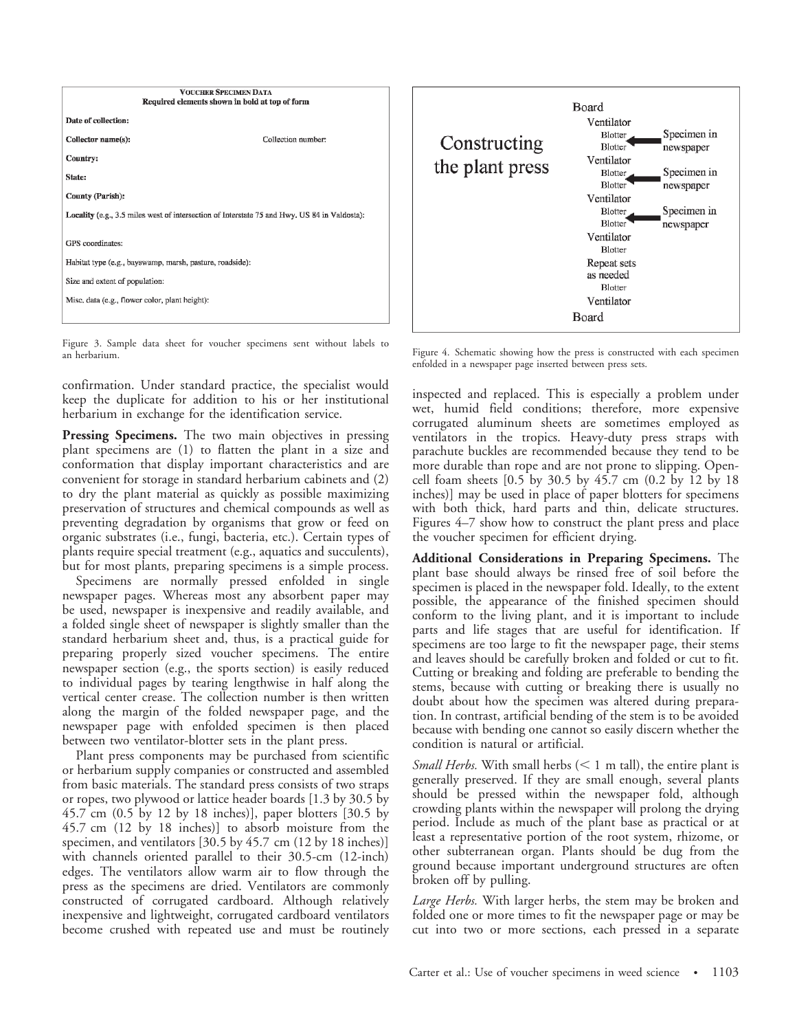

Figure 3. Sample data sheet for voucher specimens sent without labels to

confirmation. Under standard practice, the specialist would keep the duplicate for addition to his or her institutional herbarium in exchange for the identification service.

Pressing Specimens. The two main objectives in pressing plant specimens are (1) to flatten the plant in a size and conformation that display important characteristics and are convenient for storage in standard herbarium cabinets and (2) to dry the plant material as quickly as possible maximizing preservation of structures and chemical compounds as well as preventing degradation by organisms that grow or feed on organic substrates (i.e., fungi, bacteria, etc.). Certain types of plants require special treatment (e.g., aquatics and succulents), but for most plants, preparing specimens is a simple process.

Specimens are normally pressed enfolded in single newspaper pages. Whereas most any absorbent paper may be used, newspaper is inexpensive and readily available, and a folded single sheet of newspaper is slightly smaller than the standard herbarium sheet and, thus, is a practical guide for preparing properly sized voucher specimens. The entire newspaper section (e.g., the sports section) is easily reduced to individual pages by tearing lengthwise in half along the vertical center crease. The collection number is then written along the margin of the folded newspaper page, and the newspaper page with enfolded specimen is then placed between two ventilator-blotter sets in the plant press.

Plant press components may be purchased from scientific or herbarium supply companies or constructed and assembled from basic materials. The standard press consists of two straps or ropes, two plywood or lattice header boards [1.3 by 30.5 by 45.7 cm (0.5 by 12 by 18 inches)], paper blotters [30.5 by 45.7 cm (12 by 18 inches)] to absorb moisture from the specimen, and ventilators [30.5 by 45.7 cm (12 by 18 inches)] with channels oriented parallel to their 30.5-cm (12-inch) edges. The ventilators allow warm air to flow through the press as the specimens are dried. Ventilators are commonly constructed of corrugated cardboard. Although relatively inexpensive and lightweight, corrugated cardboard ventilators become crushed with repeated use and must be routinely



an herbarium ... Figure 4. Schematic showing how the press is constructed with each specimen enfolded in a newspaper page inserted between press sets.

inspected and replaced. This is especially a problem under wet, humid field conditions; therefore, more expensive corrugated aluminum sheets are sometimes employed as ventilators in the tropics. Heavy-duty press straps with parachute buckles are recommended because they tend to be more durable than rope and are not prone to slipping. Opencell foam sheets [0.5 by 30.5 by 45.7 cm (0.2 by 12 by 18 inches)] may be used in place of paper blotters for specimens with both thick, hard parts and thin, delicate structures. Figures 4–7 show how to construct the plant press and place the voucher specimen for efficient drying.

Additional Considerations in Preparing Specimens. The plant base should always be rinsed free of soil before the specimen is placed in the newspaper fold. Ideally, to the extent possible, the appearance of the finished specimen should conform to the living plant, and it is important to include parts and life stages that are useful for identification. If specimens are too large to fit the newspaper page, their stems and leaves should be carefully broken and folded or cut to fit. Cutting or breaking and folding are preferable to bending the stems, because with cutting or breaking there is usually no doubt about how the specimen was altered during preparation. In contrast, artificial bending of the stem is to be avoided because with bending one cannot so easily discern whether the condition is natural or artificial.

*Small Herbs.* With small herbs  $(< 1$  m tall), the entire plant is generally preserved. If they are small enough, several plants should be pressed within the newspaper fold, although crowding plants within the newspaper will prolong the drying period. Include as much of the plant base as practical or at least a representative portion of the root system, rhizome, or other subterranean organ. Plants should be dug from the ground because important underground structures are often broken off by pulling.

Large Herbs. With larger herbs, the stem may be broken and folded one or more times to fit the newspaper page or may be cut into two or more sections, each pressed in a separate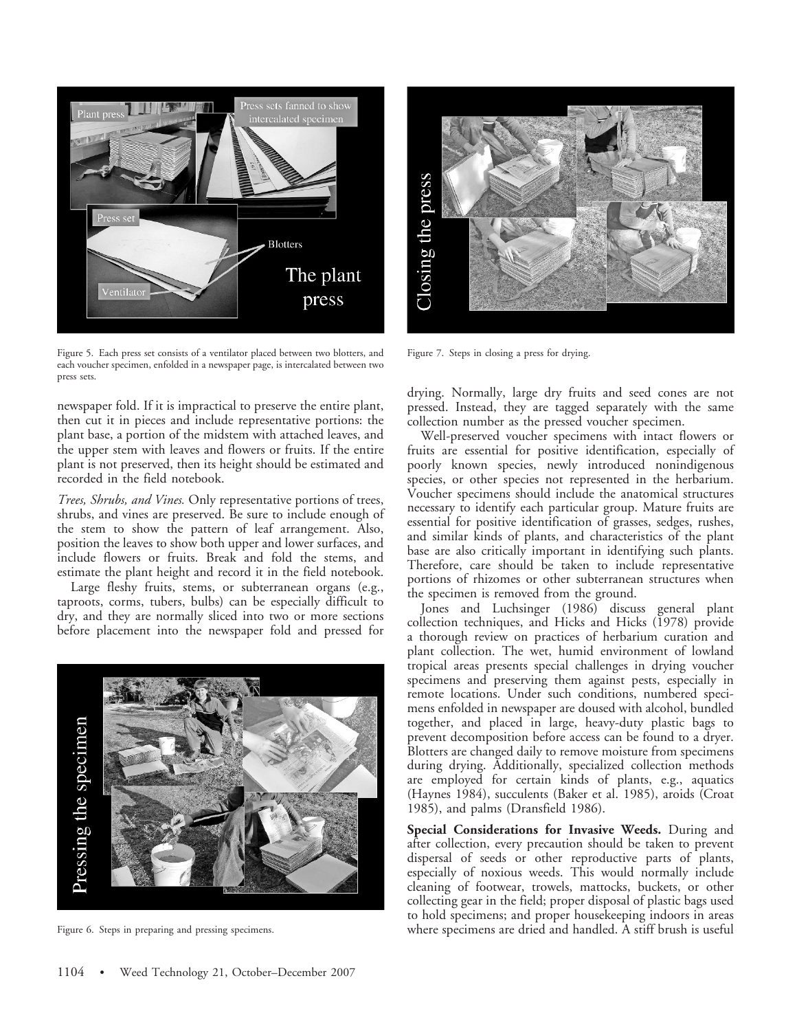

Figure 5. Each press set consists of a ventilator placed between two blotters, and each voucher specimen, enfolded in a newspaper page, is intercalated between two press sets.

newspaper fold. If it is impractical to preserve the entire plant, then cut it in pieces and include representative portions: the plant base, a portion of the midstem with attached leaves, and the upper stem with leaves and flowers or fruits. If the entire plant is not preserved, then its height should be estimated and recorded in the field notebook.

Trees, Shrubs, and Vines. Only representative portions of trees, shrubs, and vines are preserved. Be sure to include enough of the stem to show the pattern of leaf arrangement. Also, position the leaves to show both upper and lower surfaces, and include flowers or fruits. Break and fold the stems, and estimate the plant height and record it in the field notebook.

Large fleshy fruits, stems, or subterranean organs (e.g., taproots, corms, tubers, bulbs) can be especially difficult to dry, and they are normally sliced into two or more sections before placement into the newspaper fold and pressed for



Figure 6. Steps in preparing and pressing specimens.



Figure 7. Steps in closing a press for drying.

drying. Normally, large dry fruits and seed cones are not pressed. Instead, they are tagged separately with the same collection number as the pressed voucher specimen.

Well-preserved voucher specimens with intact flowers or fruits are essential for positive identification, especially of poorly known species, newly introduced nonindigenous species, or other species not represented in the herbarium. Voucher specimens should include the anatomical structures necessary to identify each particular group. Mature fruits are essential for positive identification of grasses, sedges, rushes, and similar kinds of plants, and characteristics of the plant base are also critically important in identifying such plants. Therefore, care should be taken to include representative portions of rhizomes or other subterranean structures when the specimen is removed from the ground.

Jones and Luchsinger (1986) discuss general plant collection techniques, and Hicks and Hicks (1978) provide a thorough review on practices of herbarium curation and plant collection. The wet, humid environment of lowland tropical areas presents special challenges in drying voucher specimens and preserving them against pests, especially in remote locations. Under such conditions, numbered specimens enfolded in newspaper are doused with alcohol, bundled together, and placed in large, heavy-duty plastic bags to prevent decomposition before access can be found to a dryer. Blotters are changed daily to remove moisture from specimens during drying. Additionally, specialized collection methods are employed for certain kinds of plants, e.g., aquatics (Haynes 1984), succulents (Baker et al. 1985), aroids (Croat 1985), and palms (Dransfield 1986).

Special Considerations for Invasive Weeds. During and after collection, every precaution should be taken to prevent dispersal of seeds or other reproductive parts of plants, especially of noxious weeds. This would normally include cleaning of footwear, trowels, mattocks, buckets, or other collecting gear in the field; proper disposal of plastic bags used to hold specimens; and proper housekeeping indoors in areas where specimens are dried and handled. A stiff brush is useful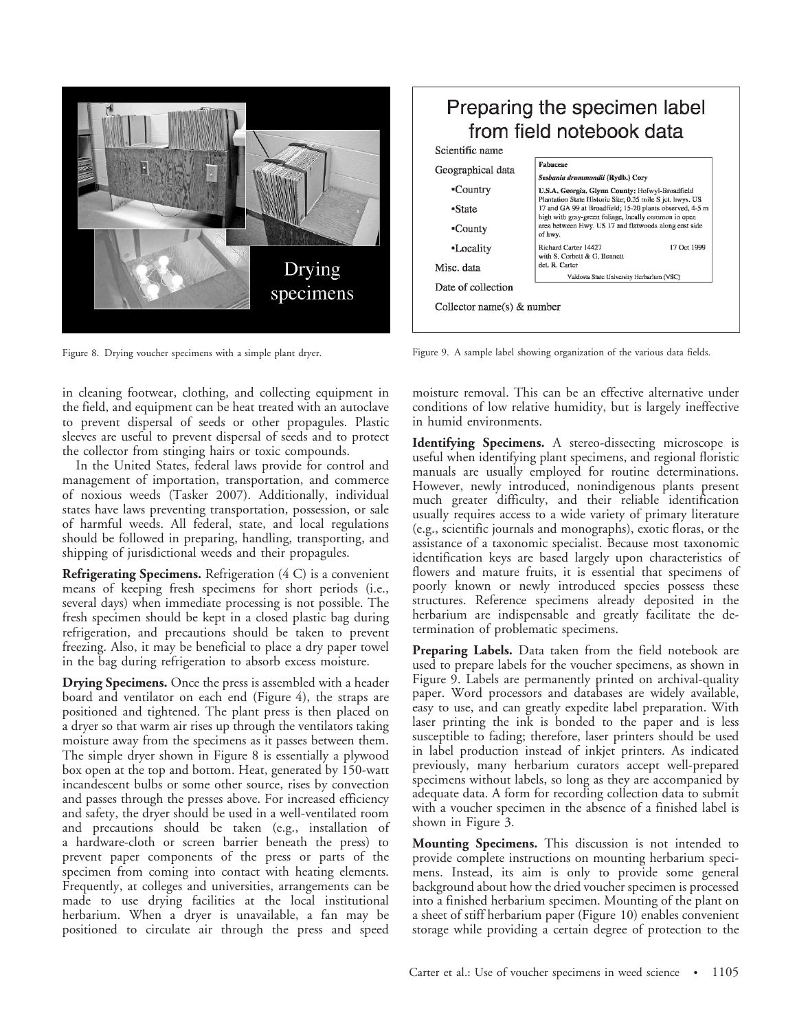

in cleaning footwear, clothing, and collecting equipment in the field, and equipment can be heat treated with an autoclave to prevent dispersal of seeds or other propagules. Plastic sleeves are useful to prevent dispersal of seeds and to protect the collector from stinging hairs or toxic compounds.

In the United States, federal laws provide for control and management of importation, transportation, and commerce of noxious weeds (Tasker 2007). Additionally, individual states have laws preventing transportation, possession, or sale of harmful weeds. All federal, state, and local regulations should be followed in preparing, handling, transporting, and shipping of jurisdictional weeds and their propagules.

Refrigerating Specimens. Refrigeration (4 C) is a convenient means of keeping fresh specimens for short periods (i.e., several days) when immediate processing is not possible. The fresh specimen should be kept in a closed plastic bag during refrigeration, and precautions should be taken to prevent freezing. Also, it may be beneficial to place a dry paper towel in the bag during refrigeration to absorb excess moisture.

Drying Specimens. Once the press is assembled with a header board and ventilator on each end (Figure 4), the straps are positioned and tightened. The plant press is then placed on a dryer so that warm air rises up through the ventilators taking moisture away from the specimens as it passes between them. The simple dryer shown in Figure 8 is essentially a plywood box open at the top and bottom. Heat, generated by 150-watt incandescent bulbs or some other source, rises by convection and passes through the presses above. For increased efficiency and safety, the dryer should be used in a well-ventilated room and precautions should be taken (e.g., installation of a hardware-cloth or screen barrier beneath the press) to prevent paper components of the press or parts of the specimen from coming into contact with heating elements. Frequently, at colleges and universities, arrangements can be made to use drying facilities at the local institutional herbarium. When a dryer is unavailable, a fan may be positioned to circulate air through the press and speed



Figure 8. Drying voucher specimens with a simple plant dryer. Figure 9. A sample label showing organization of the various data fields.

moisture removal. This can be an effective alternative under conditions of low relative humidity, but is largely ineffective in humid environments.

Identifying Specimens. A stereo-dissecting microscope is useful when identifying plant specimens, and regional floristic manuals are usually employed for routine determinations. However, newly introduced, nonindigenous plants present much greater difficulty, and their reliable identification usually requires access to a wide variety of primary literature (e.g., scientific journals and monographs), exotic floras, or the assistance of a taxonomic specialist. Because most taxonomic identification keys are based largely upon characteristics of flowers and mature fruits, it is essential that specimens of poorly known or newly introduced species possess these structures. Reference specimens already deposited in the herbarium are indispensable and greatly facilitate the determination of problematic specimens.

Preparing Labels. Data taken from the field notebook are used to prepare labels for the voucher specimens, as shown in Figure 9. Labels are permanently printed on archival-quality paper. Word processors and databases are widely available, easy to use, and can greatly expedite label preparation. With laser printing the ink is bonded to the paper and is less susceptible to fading; therefore, laser printers should be used in label production instead of inkjet printers. As indicated previously, many herbarium curators accept well-prepared specimens without labels, so long as they are accompanied by adequate data. A form for recording collection data to submit with a voucher specimen in the absence of a finished label is shown in Figure 3.

Mounting Specimens. This discussion is not intended to provide complete instructions on mounting herbarium specimens. Instead, its aim is only to provide some general background about how the dried voucher specimen is processed into a finished herbarium specimen. Mounting of the plant on a sheet of stiff herbarium paper (Figure 10) enables convenient storage while providing a certain degree of protection to the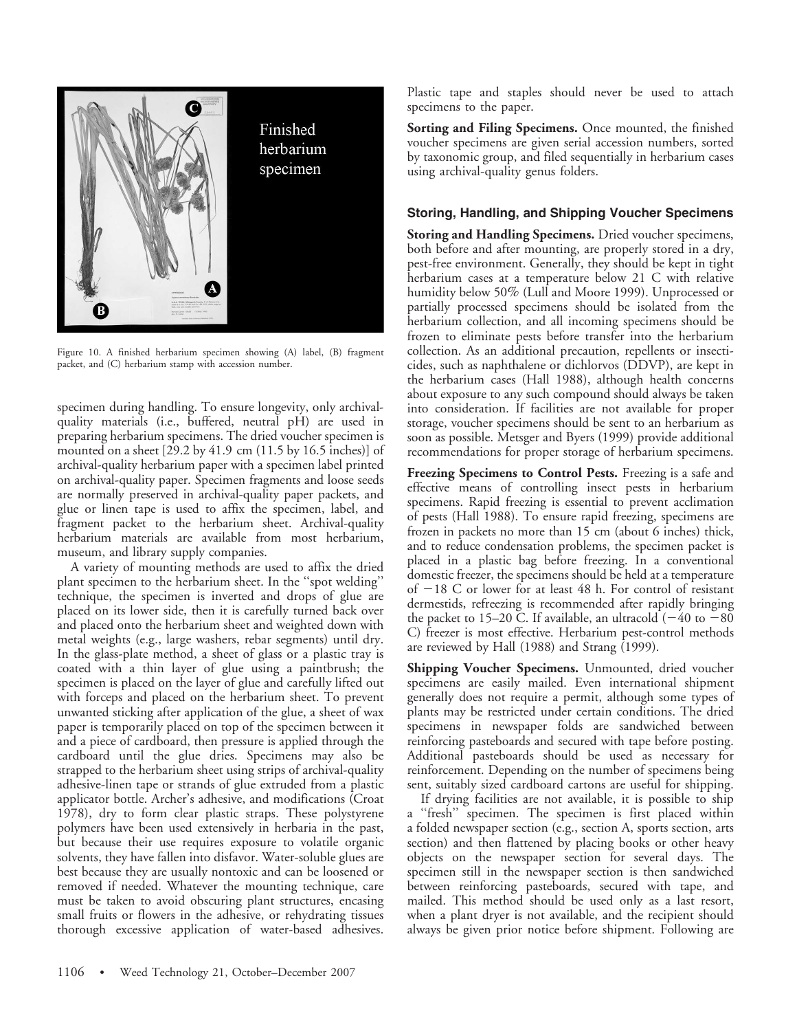

Figure 10. A finished herbarium specimen showing (A) label, (B) fragment packet, and (C) herbarium stamp with accession number.

specimen during handling. To ensure longevity, only archivalquality materials (i.e., buffered, neutral pH) are used in preparing herbarium specimens. The dried voucher specimen is mounted on a sheet [29.2 by 41.9 cm (11.5 by 16.5 inches)] of archival-quality herbarium paper with a specimen label printed on archival-quality paper. Specimen fragments and loose seeds are normally preserved in archival-quality paper packets, and glue or linen tape is used to affix the specimen, label, and fragment packet to the herbarium sheet. Archival-quality herbarium materials are available from most herbarium, museum, and library supply companies.

A variety of mounting methods are used to affix the dried plant specimen to the herbarium sheet. In the ''spot welding'' technique, the specimen is inverted and drops of glue are placed on its lower side, then it is carefully turned back over and placed onto the herbarium sheet and weighted down with metal weights (e.g., large washers, rebar segments) until dry. In the glass-plate method, a sheet of glass or a plastic tray is coated with a thin layer of glue using a paintbrush; the specimen is placed on the layer of glue and carefully lifted out with forceps and placed on the herbarium sheet. To prevent unwanted sticking after application of the glue, a sheet of wax paper is temporarily placed on top of the specimen between it and a piece of cardboard, then pressure is applied through the cardboard until the glue dries. Specimens may also be strapped to the herbarium sheet using strips of archival-quality adhesive-linen tape or strands of glue extruded from a plastic applicator bottle. Archer's adhesive, and modifications (Croat 1978), dry to form clear plastic straps. These polystyrene polymers have been used extensively in herbaria in the past, but because their use requires exposure to volatile organic solvents, they have fallen into disfavor. Water-soluble glues are best because they are usually nontoxic and can be loosened or removed if needed. Whatever the mounting technique, care must be taken to avoid obscuring plant structures, encasing small fruits or flowers in the adhesive, or rehydrating tissues thorough excessive application of water-based adhesives.

Plastic tape and staples should never be used to attach specimens to the paper.

Sorting and Filing Specimens. Once mounted, the finished voucher specimens are given serial accession numbers, sorted by taxonomic group, and filed sequentially in herbarium cases using archival-quality genus folders.

## Storing, Handling, and Shipping Voucher Specimens

Storing and Handling Specimens. Dried voucher specimens, both before and after mounting, are properly stored in a dry, pest-free environment. Generally, they should be kept in tight herbarium cases at a temperature below 21 C with relative humidity below 50% (Lull and Moore 1999). Unprocessed or partially processed specimens should be isolated from the herbarium collection, and all incoming specimens should be frozen to eliminate pests before transfer into the herbarium collection. As an additional precaution, repellents or insecticides, such as naphthalene or dichlorvos (DDVP), are kept in the herbarium cases (Hall 1988), although health concerns about exposure to any such compound should always be taken into consideration. If facilities are not available for proper storage, voucher specimens should be sent to an herbarium as soon as possible. Metsger and Byers (1999) provide additional recommendations for proper storage of herbarium specimens.

Freezing Specimens to Control Pests. Freezing is a safe and effective means of controlling insect pests in herbarium specimens. Rapid freezing is essential to prevent acclimation of pests (Hall 1988). To ensure rapid freezing, specimens are frozen in packets no more than 15 cm (about 6 inches) thick, and to reduce condensation problems, the specimen packet is placed in a plastic bag before freezing. In a conventional domestic freezer, the specimens should be held at a temperature of  $-18$  C or lower for at least 48 h. For control of resistant dermestids, refreezing is recommended after rapidly bringing the packet to 15–20 C. If available, an ultracold  $(-40 \text{ to } -80)$ C) freezer is most effective. Herbarium pest-control methods are reviewed by Hall (1988) and Strang (1999).

Shipping Voucher Specimens. Unmounted, dried voucher specimens are easily mailed. Even international shipment generally does not require a permit, although some types of plants may be restricted under certain conditions. The dried specimens in newspaper folds are sandwiched between reinforcing pasteboards and secured with tape before posting. Additional pasteboards should be used as necessary for reinforcement. Depending on the number of specimens being sent, suitably sized cardboard cartons are useful for shipping.

If drying facilities are not available, it is possible to ship a ''fresh'' specimen. The specimen is first placed within a folded newspaper section (e.g., section A, sports section, arts section) and then flattened by placing books or other heavy objects on the newspaper section for several days. The specimen still in the newspaper section is then sandwiched between reinforcing pasteboards, secured with tape, and mailed. This method should be used only as a last resort, when a plant dryer is not available, and the recipient should always be given prior notice before shipment. Following are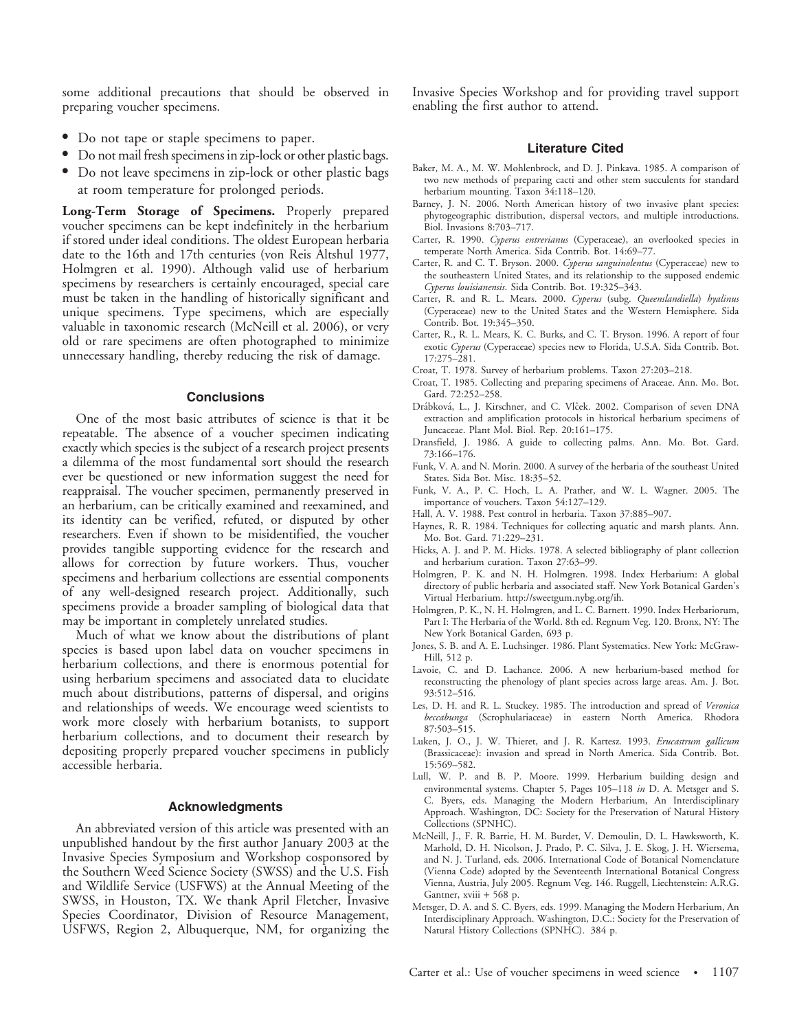some additional precautions that should be observed in preparing voucher specimens.

- Do not tape or staple specimens to paper.
- Do not mail fresh specimens in zip-lock or other plastic bags.
- Do not leave specimens in zip-lock or other plastic bags at room temperature for prolonged periods.

Long-Term Storage of Specimens. Properly prepared voucher specimens can be kept indefinitely in the herbarium if stored under ideal conditions. The oldest European herbaria date to the 16th and 17th centuries (von Reis Altshul 1977, Holmgren et al. 1990). Although valid use of herbarium specimens by researchers is certainly encouraged, special care must be taken in the handling of historically significant and unique specimens. Type specimens, which are especially valuable in taxonomic research (McNeill et al. 2006), or very old or rare specimens are often photographed to minimize unnecessary handling, thereby reducing the risk of damage.

#### **Conclusions**

One of the most basic attributes of science is that it be repeatable. The absence of a voucher specimen indicating exactly which species is the subject of a research project presents a dilemma of the most fundamental sort should the research ever be questioned or new information suggest the need for reappraisal. The voucher specimen, permanently preserved in an herbarium, can be critically examined and reexamined, and its identity can be verified, refuted, or disputed by other researchers. Even if shown to be misidentified, the voucher provides tangible supporting evidence for the research and allows for correction by future workers. Thus, voucher specimens and herbarium collections are essential components of any well-designed research project. Additionally, such specimens provide a broader sampling of biological data that may be important in completely unrelated studies.

Much of what we know about the distributions of plant species is based upon label data on voucher specimens in herbarium collections, and there is enormous potential for using herbarium specimens and associated data to elucidate much about distributions, patterns of dispersal, and origins and relationships of weeds. We encourage weed scientists to work more closely with herbarium botanists, to support herbarium collections, and to document their research by depositing properly prepared voucher specimens in publicly accessible herbaria.

#### Acknowledgments

An abbreviated version of this article was presented with an unpublished handout by the first author January 2003 at the Invasive Species Symposium and Workshop cosponsored by the Southern Weed Science Society (SWSS) and the U.S. Fish and Wildlife Service (USFWS) at the Annual Meeting of the SWSS, in Houston, TX. We thank April Fletcher, Invasive Species Coordinator, Division of Resource Management, USFWS, Region 2, Albuquerque, NM, for organizing the Invasive Species Workshop and for providing travel support enabling the first author to attend.

#### Literature Cited

- Baker, M. A., M. W. Mohlenbrock, and D. J. Pinkava. 1985. A comparison of two new methods of preparing cacti and other stem succulents for standard herbarium mounting. Taxon 34:118–120.
- Barney, J. N. 2006. North American history of two invasive plant species: phytogeographic distribution, dispersal vectors, and multiple introductions. Biol. Invasions 8:703–717.
- Carter, R. 1990. Cyperus entrerianus (Cyperaceae), an overlooked species in temperate North America. Sida Contrib. Bot. 14:69–77.
- Carter, R. and C. T. Bryson. 2000. Cyperus sanguinolentus (Cyperaceae) new to the southeastern United States, and its relationship to the supposed endemic Cyperus louisianensis. Sida Contrib. Bot. 19:325–343.
- Carter, R. and R. L. Mears. 2000. *Cyperus* (subg. *Queenslandiella*) *hyalinus* (Cyperaceae) new to the United States and the Western Hemisphere. Sida Contrib. Bot. 19:345–350.
- Carter, R., R. L. Mears, K. C. Burks, and C. T. Bryson. 1996. A report of four exotic Cyperus (Cyperaceae) species new to Florida, U.S.A. Sida Contrib. Bot. 17:275–281.
- Croat, T. 1978. Survey of herbarium problems. Taxon 27:203–218.
- Croat, T. 1985. Collecting and preparing specimens of Araceae. Ann. Mo. Bot. Gard. 72:252–258.
- Drábková, L., J. Kirschner, and C. Vlcek. 2002. Comparison of seven DNA extraction and amplification protocols in historical herbarium specimens of Juncaceae. Plant Mol. Biol. Rep. 20:161–175.
- Dransfield, J. 1986. A guide to collecting palms. Ann. Mo. Bot. Gard. 73:166–176.
- Funk, V. A. and N. Morin. 2000. A survey of the herbaria of the southeast United States. Sida Bot. Misc. 18:35–52.
- Funk, V. A., P. C. Hoch, L. A. Prather, and W. L. Wagner. 2005. The importance of vouchers. Taxon 54:127–129.
- Hall, A. V. 1988. Pest control in herbaria. Taxon 37:885–907.
- Haynes, R. R. 1984. Techniques for collecting aquatic and marsh plants. Ann. Mo. Bot. Gard. 71:229–231.
- Hicks, A. J. and P. M. Hicks. 1978. A selected bibliography of plant collection and herbarium curation. Taxon 27:63–99.
- Holmgren, P. K. and N. H. Holmgren. 1998. Index Herbarium: A global directory of public herbaria and associated staff. New York Botanical Garden's Virtual Herbarium. http://sweetgum.nybg.org/ih.
- Holmgren, P. K., N. H. Holmgren, and L. C. Barnett. 1990. Index Herbariorum, Part I: The Herbaria of the World. 8th ed. Regnum Veg. 120. Bronx, NY: The New York Botanical Garden, 693 p.
- Jones, S. B. and A. E. Luchsinger. 1986. Plant Systematics. New York: McGraw-Hill, 512 p.
- Lavoie, C. and D. Lachance. 2006. A new herbarium-based method for reconstructing the phenology of plant species across large areas. Am. J. Bot. 93:512–516.
- Les, D. H. and R. L. Stuckey. 1985. The introduction and spread of Veronica beccabunga (Scrophulariaceae) in eastern North America. Rhodora 87:503–515.
- Luken, J. O., J. W. Thieret, and J. R. Kartesz. 1993. Erucastrum gallicum (Brassicaceae): invasion and spread in North America. Sida Contrib. Bot. 15:569–582.
- Lull, W. P. and B. P. Moore. 1999. Herbarium building design and environmental systems. Chapter 5, Pages 105–118 in D. A. Metsger and S. C. Byers, eds. Managing the Modern Herbarium, An Interdisciplinary Approach. Washington, DC: Society for the Preservation of Natural History Collections (SPNHC).
- McNeill, J., F. R. Barrie, H. M. Burdet, V. Demoulin, D. L. Hawksworth, K. Marhold, D. H. Nicolson, J. Prado, P. C. Silva, J. E. Skog, J. H. Wiersema, and N. J. Turland, eds. 2006. International Code of Botanical Nomenclature (Vienna Code) adopted by the Seventeenth International Botanical Congress Vienna, Austria, July 2005. Regnum Veg. 146. Ruggell, Liechtenstein: A.R.G. Gantner, xviii + 568 p.
- Metsger, D. A. and S. C. Byers, eds. 1999. Managing the Modern Herbarium, An Interdisciplinary Approach. Washington, D.C.: Society for the Preservation of Natural History Collections (SPNHC). 384 p.